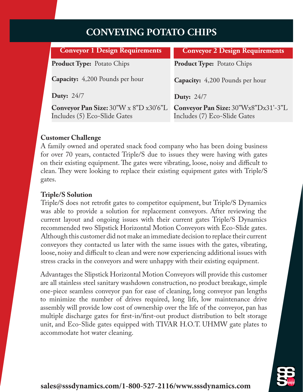# **CONVEYING POTATO CHIPS**

| <b>Conveyor 1 Design Requirements</b>                                                                                             | <b>Conveyor 2 Design Requirements</b>                               |
|-----------------------------------------------------------------------------------------------------------------------------------|---------------------------------------------------------------------|
| <b>Product Type:</b> Potato Chips                                                                                                 | <b>Product Type:</b> Potato Chips                                   |
| <b>Capacity:</b> 4,200 Pounds per hour                                                                                            | Capacity: 4,200 Pounds per hour                                     |
| <b>Duty:</b> 24/7                                                                                                                 | <b>Duty: 24/7</b>                                                   |
| Conveyor Pan Size: $30^{\prime\prime}$ W x $8^{\prime\prime}$ D x $30^{\prime}6^{\prime\prime}$ L<br>Includes (5) Eco-Slide Gates | Conveyor Pan Size: 30"Wx8"Dx31'-3"L<br>Includes (7) Eco-Slide Gates |

#### **Customer Challenge**

A family owned and operated snack food company who has been doing business for over 70 years, contacted Triple/S due to issues they were having with gates on their existing equipment. The gates were vibrating, loose, noisy and difficult to clean. They were looking to replace their existing equipment gates with Triple/S gates.

### **Triple/S Solution**

Triple/S does not retrofit gates to competitor equipment, but Triple/S Dynamics was able to provide a solution for replacement conveyors. After reviewing the current layout and ongoing issues with their current gates Triple/S Dynamics recommended two Slipstick Horizontal Motion Conveyors with Eco-Slide gates. Although this customer did not make an immediate decision to replace their current conveyors they contacted us later with the same issues with the gates, vibrating, loose, noisy and difficult to clean and were now experiencing additional issues with stress cracks in the conveyors and were unhappy with their existing equipment.

Advantages the Slipstick Horizontal Motion Conveyors will provide this customer are all stainless steel sanitary washdown construction, no product breakage, simple one-piece seamless conveyor pan for ease of cleaning, long conveyor pan lengths to minimize the number of drives required, long life, low maintenance drive assembly will provide low cost of ownership over the life of the conveyor, pan has multiple discharge gates for first-in/first-out product distribution to belt storage unit, and Eco-Slide gates equipped with TIVAR H.O.T. UHMW gate plates to accommodate hot water cleaning.